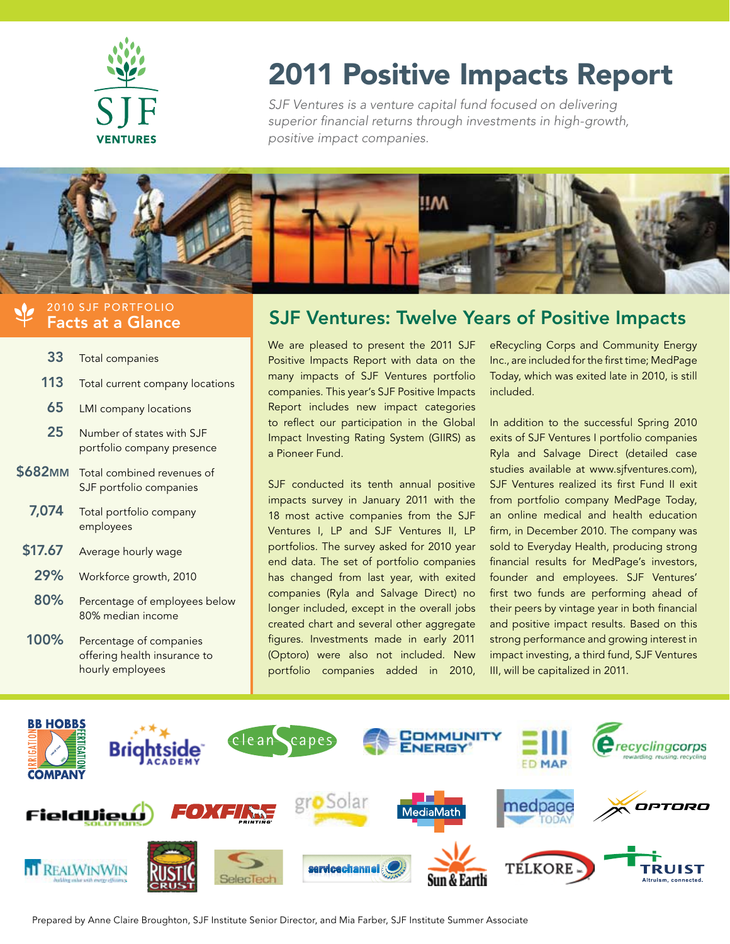

# 2011 Positive Impacts Report

SJF Ventures is a venture capital fund focused on delivering superior financial returns through investments in high-growth, positive impact companies.



### 2010 SJF PORTFOLIO Facts at a Glance

| 33             | <b>Total companies</b>                                                      |  |  |
|----------------|-----------------------------------------------------------------------------|--|--|
| 113            | Total current company locations                                             |  |  |
| 65             | <b>LMI</b> company locations                                                |  |  |
| 25             | Number of states with SJF<br>portfolio company presence                     |  |  |
| <b>\$682MM</b> | Total combined revenues of<br>SJF portfolio companies                       |  |  |
| 7,074          | Total portfolio company<br>employees                                        |  |  |
| \$17.67        | Average hourly wage                                                         |  |  |
| 29%            | Workforce growth, 2010                                                      |  |  |
| 80%            | Percentage of employees below<br>80% median income                          |  |  |
| 100%           | Percentage of companies<br>offering health insurance to<br>hourly employees |  |  |

## SJF Ventures: Twelve Years of Positive Impacts

We are pleased to present the 2011 SJF Positive Impacts Report with data on the many impacts of SJF Ventures portfolio companies. This year's SJF Positive Impacts Report includes new impact categories to reflect our participation in the Global Impact Investing Rating System (GIIRS) as a Pioneer Fund.

SJF conducted its tenth annual positive impacts survey in January 2011 with the 18 most active companies from the SJF Ventures I, LP and SJF Ventures II, LP portfolios. The survey asked for 2010 year end data. The set of portfolio companies has changed from last year, with exited companies (Ryla and Salvage Direct) no longer included, except in the overall jobs created chart and several other aggregate figures. Investments made in early 2011 (Optoro) were also not included. New portfolio companies added in 2010,

eRecycling Corps and Community Energy Inc., are included for the first time; MedPage Today, which was exited late in 2010, is still included.

In addition to the successful Spring 2010 exits of SJF Ventures I portfolio companies Ryla and Salvage Direct (detailed case studies available at www.sjfventures.com), SJF Ventures realized its first Fund II exit from portfolio company MedPage Today, an online medical and health education firm, in December 2010. The company was sold to Everyday Health, producing strong financial results for MedPage's investors, founder and employees. SJF Ventures' first two funds are performing ahead of their peers by vintage year in both financial and positive impact results. Based on this strong performance and growing interest in impact investing, a third fund, SJF Ventures III, will be capitalized in 2011.



Prepared by Anne Claire Broughton, SJF Institute Senior Director, and Mia Farber, SJF Institute Summer Associate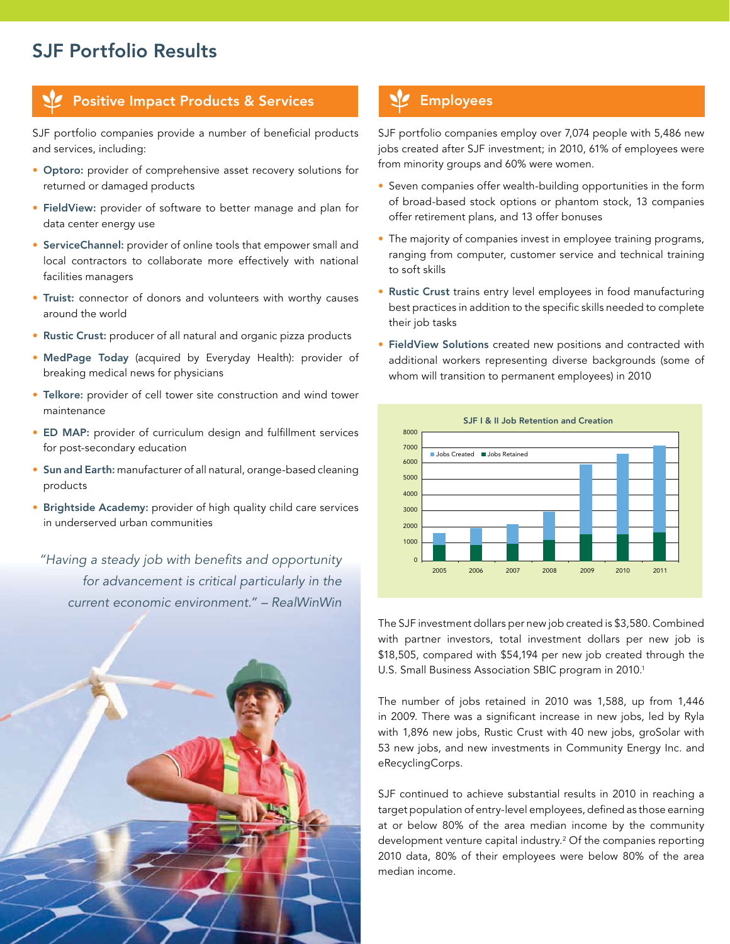## SJF Portfolio Results

### Positive Impact Products & Services **Products** Employees

SJF portfolio companies provide a number of beneficial products and services, including:

- Optoro: provider of comprehensive asset recovery solutions for returned or damaged products
- FieldView: provider of software to better manage and plan for data center energy use
- ServiceChannel: provider of online tools that empower small and local contractors to collaborate more effectively with national facilities managers
- Truist: connector of donors and volunteers with worthy causes around the world
- Rustic Crust: producer of all natural and organic pizza products
- MedPage Today (acquired by Everyday Health): provider of breaking medical news for physicians
- Telkore: provider of cell tower site construction and wind tower maintenance
- ED MAP: provider of curriculum design and fulfillment services for post-secondary education
- Sun and Earth: manufacturer of all natural, orange-based cleaning products
- Brightside Academy: provider of high quality child care services in underserved urban communities

"Having a steady job with benefits and opportunity for advancement is critical particularly in the current economic environment." – RealWinWin

![](_page_1_Picture_14.jpeg)

SJF portfolio companies employ over 7,074 people with 5,486 new jobs created after SJF investment; in 2010, 61% of employees were from minority groups and 60% were women.

- Seven companies offer wealth-building opportunities in the form of broad-based stock options or phantom stock, 13 companies offer retirement plans, and 13 offer bonuses
- The majority of companies invest in employee training programs, ranging from computer, customer service and technical training to soft skills
- Rustic Crust trains entry level employees in food manufacturing best practices in addition to the specific skills needed to complete their job tasks
- FieldView Solutions created new positions and contracted with additional workers representing diverse backgrounds (some of whom will transition to permanent employees) in 2010

![](_page_1_Figure_21.jpeg)

The SJF investment dollars per new job created is \$3,580. Combined with partner investors, total investment dollars per new job is \$18,505, compared with \$54,194 per new job created through the U.S. Small Business Association SBIC program in 2010.<sup>1</sup>

The number of jobs retained in 2010 was 1,588, up from 1,446 in 2009. There was a significant increase in new jobs, led by Ryla with 1,896 new jobs, Rustic Crust with 40 new jobs, groSolar with 53 new jobs, and new investments in Community Energy Inc. and eRecyclingCorps.

SJF continued to achieve substantial results in 2010 in reaching a target population of entry-level employees, defined as those earning at or below 80% of the area median income by the community development venture capital industry.2 Of the companies reporting 2010 data, 80% of their employees were below 80% of the area median income.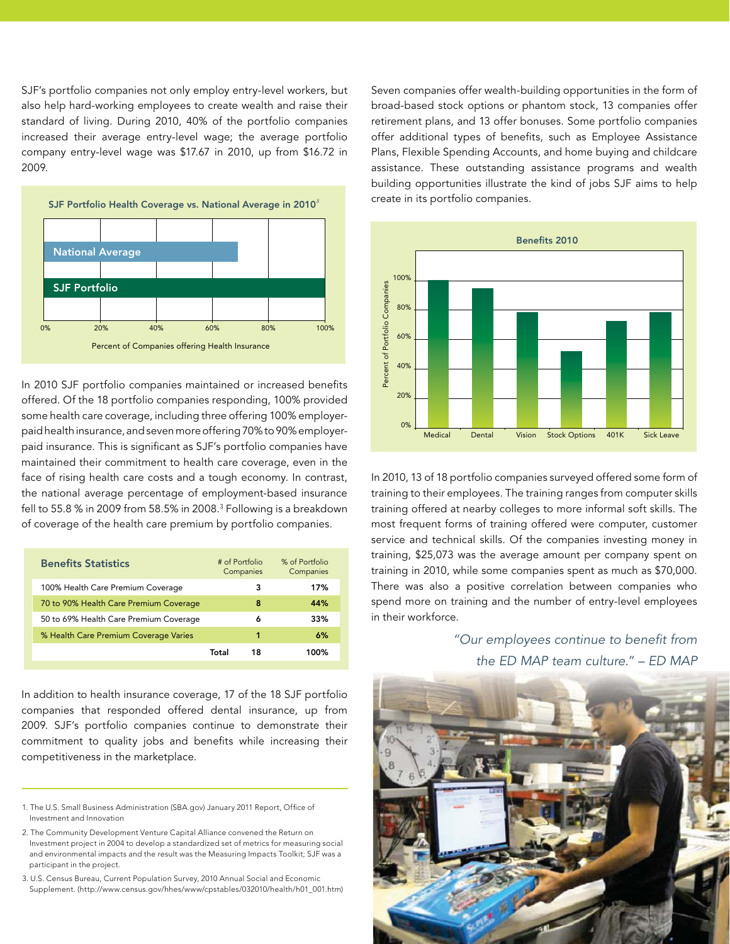SJF's portfolio companies not only employ entry-level workers, but also help hard-working employees to create wealth and raise their standard of living. During 2010, 40% of the portfolio companies increased their average entry-level wage; the average portfolio company entry-level wage was \$17.67 in 2010, up from \$16.72 in 2009.

![](_page_2_Figure_1.jpeg)

In 2010 SJF portfolio companies maintained or increased benefits offered. Of the 18 portfolio companies responding, 100% provided some health care coverage, including three offering 100% employerpaid health insurance, and seven more offering 70% to 90% employerpaid insurance. This is significant as SJF's portfolio companies have maintained their commitment to health care coverage, even in the face of rising health care costs and a tough economy. In contrast, the national average percentage of employment-based insurance fell to 55.8 % in 2009 from 58.5% in 2008.3 Following is a breakdown of coverage of the health care premium by portfolio companies.

| <b>Benefits Statistics</b> |                                        | # of Portfolio<br>Companies |    | % of Portfolio<br>Companies |
|----------------------------|----------------------------------------|-----------------------------|----|-----------------------------|
|                            | 100% Health Care Premium Coverage      |                             | з  | 17%                         |
|                            | 70 to 90% Health Care Premium Coverage |                             | 8  | 44%                         |
|                            | 50 to 69% Health Care Premium Coverage |                             | 6  | 33%                         |
|                            | % Health Care Premium Coverage Varies  |                             | 1  | 6%                          |
|                            |                                        | Total                       | 18 | 100%                        |
|                            |                                        |                             |    |                             |

In addition to health insurance coverage, 17 of the 18 SJF portfolio companies that responded offered dental insurance, up from 2009. SJF's portfolio companies continue to demonstrate their commitment to quality jobs and benefits while increasing their competitiveness in the marketplace.

1. The U.S. Small Business Administration (SBA.gov) January 2011 Report, Office of Investment and Innovation

2. The Community Development Venture Capital Alliance convened the Return on Investment project in 2004 to develop a standardized set of metrics for measuring social and environmental impacts and the result was the Measuring Impacts Toolkit; SJF was a participant in the project.

3. U.S. Census Bureau, Current Population Survey, 2010 Annual Social and Economic Supplement. (http://www.census.gov/hhes/www/cpstables/032010/health/h01\_001.htm)

Seven companies offer wealth-building opportunities in the form of broad-based stock options or phantom stock, 13 companies offer retirement plans, and 13 offer bonuses. Some portfolio companies offer additional types of benefits, such as Employee Assistance Plans, Flexible Spending Accounts, and home buying and childcare assistance. These outstanding assistance programs and wealth building opportunities illustrate the kind of jobs SJF aims to help create in its portfolio companies.

![](_page_2_Figure_9.jpeg)

In 2010, 13 of 18 portfolio companies surveyed offered some form of training to their employees. The training ranges from computer skills training offered at nearby colleges to more informal soft skills. The most frequent forms of training offered were computer, customer service and technical skills. Of the companies investing money in training, \$25,073 was the average amount per company spent on training in 2010, while some companies spent as much as \$70,000. There was also a positive correlation between companies who spend more on training and the number of entry-level employees in their workforce.

> "Our employees continue to benefit from the ED MAP team culture." – ED MAP

![](_page_2_Picture_12.jpeg)